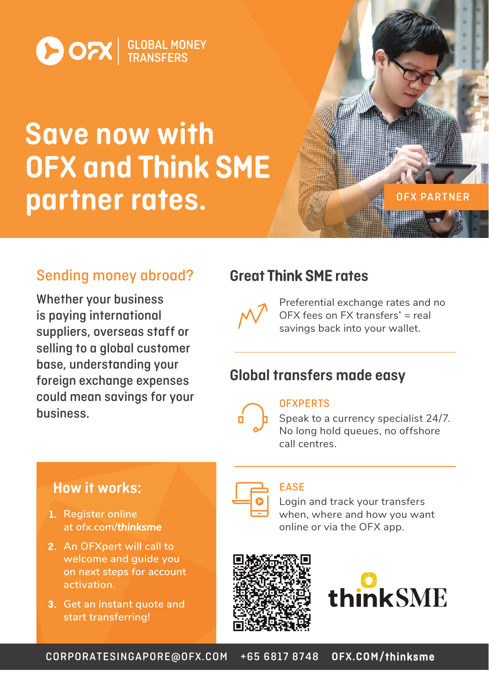

# Save now with OFX and Think SME partner rates.

## Sending money abroad?

Whether your business is paying international suppliers, overseas staff or selling to a global customer base, understanding your foreign exchange expenses could mean savings for your business.

### **Great Think SME rates**



Preferential exchange rates and no OFX fees on FX transfers $*$  = real savings back into your wallet.

OFX PARTNER

## Global transfers made easy



#### **OFXPERTS**

Speak to a currency specialist 24/7. No long hold queues, no offshore call centres.

### How it works:

- 1. Register online at ofx.com/**thinksme**
- **2.** An OFXpert will call to **welcome and guide you on next steps for account activation.**
- **Get an instant quote and start transferring!**



#### EASE

Login and track your transfers when, where and how you want online or via the OFX app.